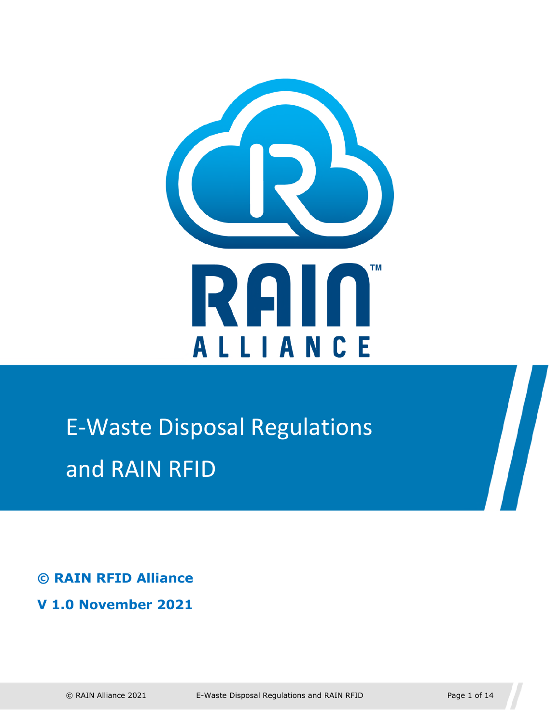

# E-Waste Disposal Regulations and RAIN RFID

**© RAIN RFID Alliance** 

**V 1.0 November 2021**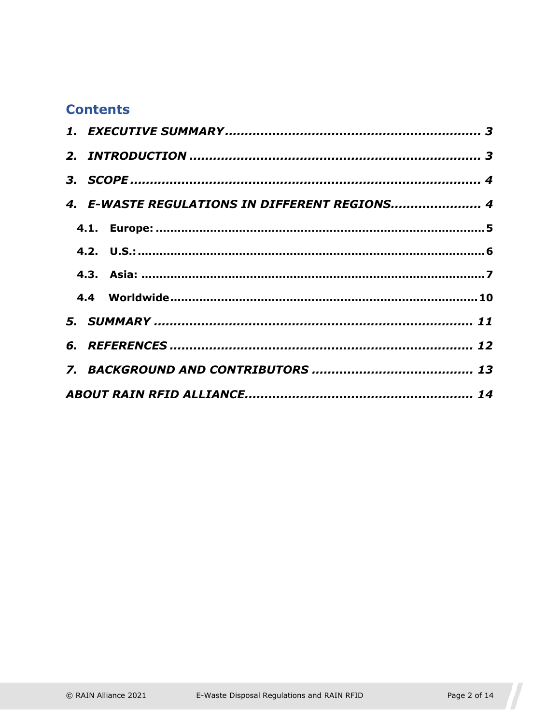#### **Contents**

|  | 4. E-WASTE REGULATIONS IN DIFFERENT REGIONS 4 |  |
|--|-----------------------------------------------|--|
|  |                                               |  |
|  |                                               |  |
|  |                                               |  |
|  |                                               |  |
|  |                                               |  |
|  |                                               |  |
|  |                                               |  |
|  |                                               |  |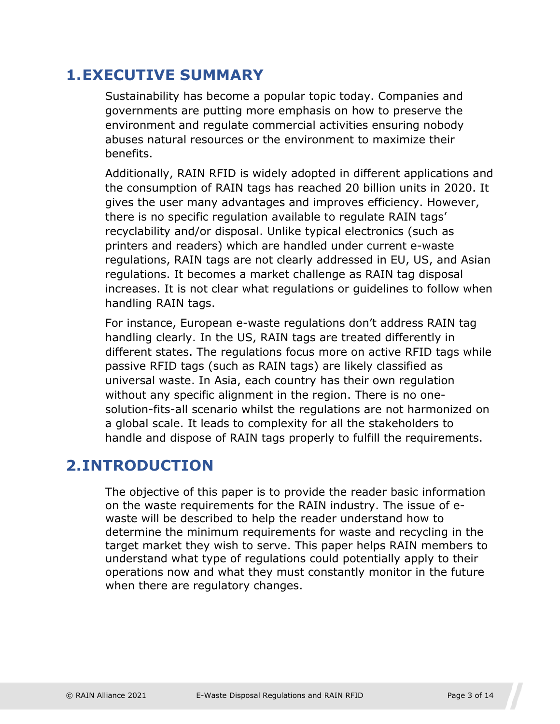#### <span id="page-2-0"></span>**1.EXECUTIVE SUMMARY**

Sustainability has become a popular topic today. Companies and governments are putting more emphasis on how to preserve the environment and regulate commercial activities ensuring nobody abuses natural resources or the environment to maximize their benefits.

Additionally, RAIN RFID is widely adopted in different applications and the consumption of RAIN tags has reached 20 billion units in 2020. It gives the user many advantages and improves efficiency. However, there is no specific regulation available to regulate RAIN tags' recyclability and/or disposal. Unlike typical electronics (such as printers and readers) which are handled under current e-waste regulations, RAIN tags are not clearly addressed in EU, US, and Asian regulations. It becomes a market challenge as RAIN tag disposal increases. It is not clear what regulations or guidelines to follow when handling RAIN tags.

For instance, European e-waste regulations don't address RAIN tag handling clearly. In the US, RAIN tags are treated differently in different states. The regulations focus more on active RFID tags while passive RFID tags (such as RAIN tags) are likely classified as universal waste. In Asia, each country has their own regulation without any specific alignment in the region. There is no onesolution-fits-all scenario whilst the regulations are not harmonized on a global scale. It leads to complexity for all the stakeholders to handle and dispose of RAIN tags properly to fulfill the requirements.

#### <span id="page-2-1"></span>**2.INTRODUCTION**

The objective of this paper is to provide the reader basic information on the waste requirements for the RAIN industry. The issue of ewaste will be described to help the reader understand how to determine the minimum requirements for waste and recycling in the target market they wish to serve. This paper helps RAIN members to understand what type of regulations could potentially apply to their operations now and what they must constantly monitor in the future when there are regulatory changes.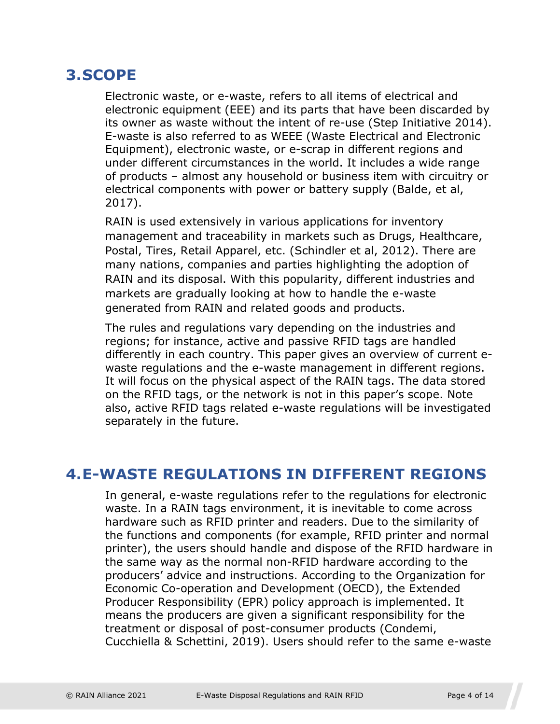### <span id="page-3-0"></span>**3.SCOPE**

Electronic waste, or e-waste, refers to all items of electrical and electronic equipment (EEE) and its parts that have been discarded by its owner as waste without the intent of re-use (Step Initiative 2014). E-waste is also referred to as WEEE (Waste Electrical and Electronic Equipment), electronic waste, or e-scrap in different regions and under different circumstances in the world. It includes a wide range of products – almost any household or business item with circuitry or electrical components with power or battery supply (Balde, et al, 2017).

RAIN is used extensively in various applications for inventory management and traceability in markets such as Drugs, Healthcare, Postal, Tires, Retail Apparel, etc. (Schindler et al, 2012). There are many nations, companies and parties highlighting the adoption of RAIN and its disposal. With this popularity, different industries and markets are gradually looking at how to handle the e-waste generated from RAIN and related goods and products.

The rules and regulations vary depending on the industries and regions; for instance, active and passive RFID tags are handled differently in each country. This paper gives an overview of current ewaste regulations and the e-waste management in different regions. It will focus on the physical aspect of the RAIN tags. The data stored on the RFID tags, or the network is not in this paper's scope. Note also, active RFID tags related e-waste regulations will be investigated separately in the future.

#### <span id="page-3-1"></span>**4.E-WASTE REGULATIONS IN DIFFERENT REGIONS**

In general, e-waste regulations refer to the regulations for electronic waste. In a RAIN tags environment, it is inevitable to come across hardware such as RFID printer and readers. Due to the similarity of the functions and components (for example, RFID printer and normal printer), the users should handle and dispose of the RFID hardware in the same way as the normal non-RFID hardware according to the producers' advice and instructions. According to the Organization for Economic Co-operation and Development (OECD), the Extended Producer Responsibility (EPR) policy approach is implemented. It means the producers are given a significant responsibility for the treatment or disposal of post-consumer products (Condemi, Cucchiella & Schettini, 2019). Users should refer to the same e-waste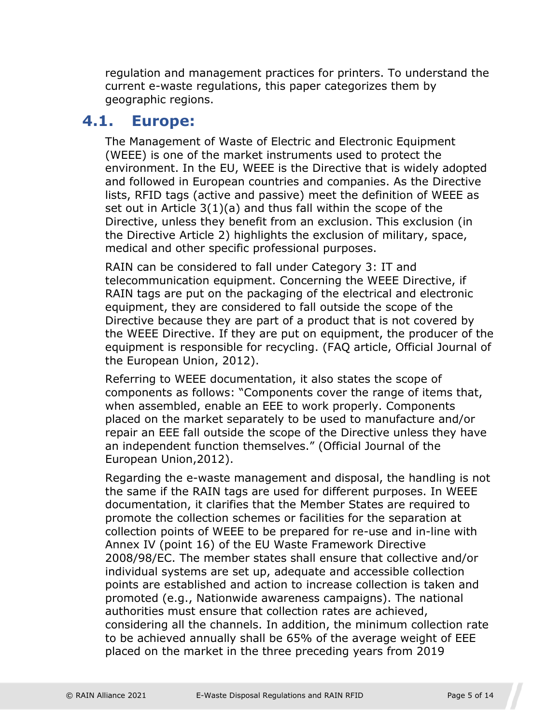regulation and management practices for printers. To understand the current e-waste regulations, this paper categorizes them by geographic regions.

#### **4.1. Europe:**

<span id="page-4-1"></span><span id="page-4-0"></span>The Management of Waste of Electric and Electronic Equipment (WEEE) is one of the market instruments used to protect the environment. In the EU, WEEE is the Directive that is widely adopted and followed in European countries and companies. As the Directive lists, RFID tags (active and passive) meet the definition of WEEE as set out in Article 3(1)(a) and thus fall within the scope of the Directive, unless they benefit from an exclusion. This exclusion (in the Directive Article 2) highlights the exclusion of military, space, medical and other specific professional purposes.

RAIN can be considered to fall under Category 3: IT and telecommunication equipment. Concerning the WEEE Directive, if RAIN tags are put on the packaging of the electrical and electronic equipment, they are considered to fall outside the scope of the Directive because they are part of a product that is not covered by the WEEE Directive. If they are put on equipment, the producer of the equipment is responsible for recycling. (FAQ article, Official Journal of the European Union, 2012).

Referring to WEEE documentation, it also states the scope of components as follows: "Components cover the range of items that, when assembled, enable an EEE to work properly. Components placed on the market separately to be used to manufacture and/or repair an EEE fall outside the scope of the Directive unless they have an independent function themselves." (Official Journal of the European Union,2012).

Regarding the e-waste management and disposal, the handling is not the same if the RAIN tags are used for different purposes. In WEEE documentation, it clarifies that the Member States are required to promote the collection schemes or facilities for the separation at collection points of WEEE to be prepared for re-use and in-line with Annex IV (point 16) of the EU Waste Framework Directive 2008/98/EC. The member states shall ensure that collective and/or individual systems are set up, adequate and accessible collection points are established and action to increase collection is taken and promoted (e.g., Nationwide awareness campaigns). The national authorities must ensure that collection rates are achieved, considering all the channels. In addition, the minimum collection rate to be achieved annually shall be 65% of the average weight of EEE placed on the market in the three preceding years from 2019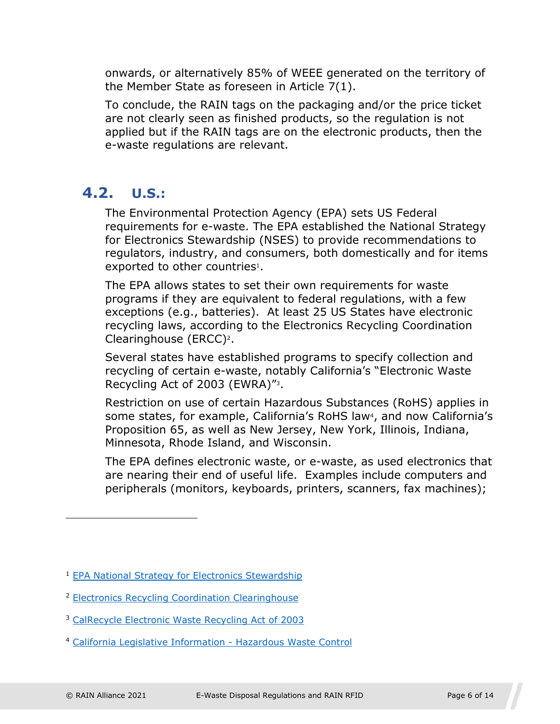onwards, or alternatively 85% of WEEE generated on the territory of the Member State as foreseen in Article 7(1).

To conclude, the RAIN tags on the packaging and/or the price ticket are not clearly seen as finished products, so the regulation is not applied but if the RAIN tags are on the electronic products, then the e-waste regulations are relevant.

#### **4.2. U.S.:**

<span id="page-5-1"></span><span id="page-5-0"></span>The Environmental Protection Agency (EPA) sets US Federal requirements for e-waste. The EPA established the National Strategy for Electronics Stewardship (NSES) to provide recommendations to regulators, industry, and c[on](#page-5-2)sumers, both domestically and for items exported to other countries<sup>1</sup>.

The EPA allows states to set their own requirements for waste programs if they are equivalent to federal regulations, with a few exceptions (e.g., batteries). At least 25 US States have electronic recycling laws, accord[in](#page-5-3)g to the Electronics Recycling Coordination Clearinghouse (ERCC)2.

Several states have established programs to specify collection and recycling of certain e-waste, n[ot](#page-5-4)ably California's "Electronic Waste Recycling Act of 2003 (EWRA)"3.

Restriction on use of certain Hazardous Substa[nc](#page-5-5)es (RoHS) applies in some states, for example, California's RoHS law<sup>4</sup>, and now California's Proposition 65, as well as New Jersey, New York, Illinois, Indiana, Minnesota, Rhode Island, and Wisconsin.

The EPA defines electronic waste, or e-waste, as used electronics that are nearing their end of useful life. Examples include computers and peripherals (monitors, keyboards, printers, scanners, fax machines);

- <span id="page-5-4"></span><sup>3</sup> CalRecycle Electronic Waste Recycling Act of 2003
- <span id="page-5-5"></span><sup>4</sup> California Legislative Information - Hazardous Waste Control

<span id="page-5-2"></span><sup>1</sup> EPA National Strategy for Electronics Stewardship

<span id="page-5-3"></span><sup>2</sup> Electronics Recycling Coordination Clearinghouse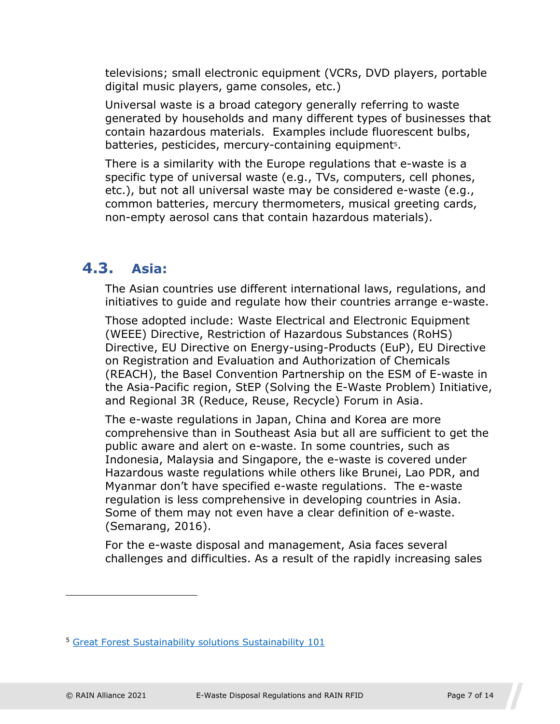televisions; small electronic equipment (VCRs, DVD players, portable digital music players, game consoles, etc.)

Universal waste is a broad category generally referring to waste generated by households and many different types of businesses that contain hazardous materials. Examples include fluo[re](#page-6-2)scent bulbs, batteries, pesticides, mercury-containing equipment<sup>5</sup>.

There is a similarity with the Europe regulations that e-waste is a specific type of universal waste (e.g., TVs, computers, cell phones, etc.), but not all universal waste may be considered e-waste (e.g., common batteries, mercury thermometers, musical greeting cards, non-empty aerosol cans that contain hazardous materials).

#### **4.3. Asia:**

<span id="page-6-1"></span><span id="page-6-0"></span>The Asian countries use different international laws, regulations, and initiatives to guide and regulate how their countries arrange e-waste.

Those adopted include: Waste Electrical and Electronic Equipment (WEEE) Directive, Restriction of Hazardous Substances (RoHS) Directive, EU Directive on Energy-using-Products (EuP), EU Directive on Registration and Evaluation and Authorization of Chemicals (REACH), the Basel Convention Partnership on the ESM of E-waste in the Asia-Pacific region, StEP (Solving the E-Waste Problem) Initiative, and Regional 3R (Reduce, Reuse, Recycle) Forum in Asia.

The e-waste regulations in Japan, China and Korea are more comprehensive than in Southeast Asia but all are sufficient to get the public aware and alert on e-waste. In some countries, such as Indonesia, Malaysia and Singapore, the e-waste is covered under Hazardous waste regulations while others like Brunei, Lao PDR, and Myanmar don't have specified e-waste regulations. The e-waste regulation is less comprehensive in developing countries in Asia. Some of them may not even have a clear definition of e-waste. (Semarang, 2016).

For the e-waste disposal and management, Asia faces several challenges and difficulties. As a result of the rapidly increasing sales

<span id="page-6-2"></span><sup>5</sup> Great Forest Sustainability solutions Sustainability 101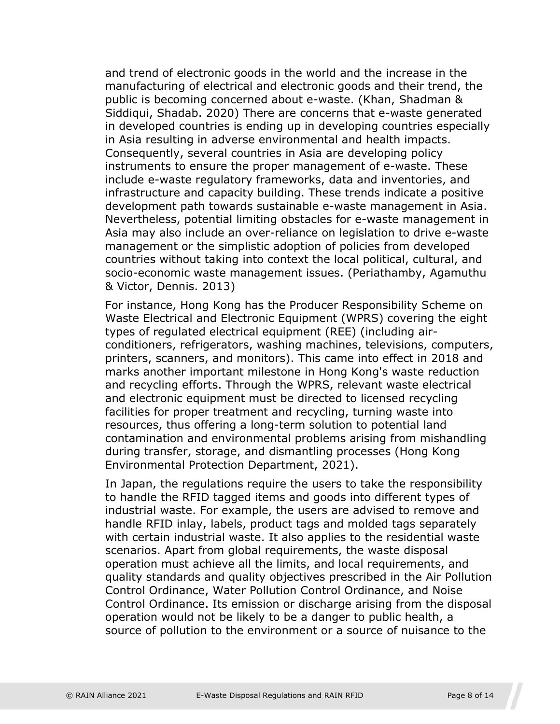and trend of electronic goods in the world and the increase in the manufacturing of electrical and electronic goods and their trend, the public is becoming concerned about e-waste. (Khan, Shadman & Siddiqui, Shadab. 2020) There are concerns that e-waste generated in developed countries is ending up in developing countries especially in Asia resulting in adverse environmental and health impacts. Consequently, several countries in Asia are developing policy instruments to ensure the proper management of e-waste. These include e-waste regulatory frameworks, data and inventories, and infrastructure and capacity building. These trends indicate a positive development path towards sustainable e-waste management in Asia. Nevertheless, potential limiting obstacles for e-waste management in Asia may also include an over-reliance on legislation to drive e-waste management or the simplistic adoption of policies from developed countries without taking into context the local political, cultural, and socio-economic waste management issues. (Periathamby, Agamuthu & Victor, Dennis. 2013)

For instance, Hong Kong has the Producer Responsibility Scheme on Waste Electrical and Electronic Equipment (WPRS) covering the eight types of regulated electrical equipment (REE) (including airconditioners, refrigerators, washing machines, televisions, computers, printers, scanners, and monitors). This came into effect in 2018 and marks another important milestone in Hong Kong's waste reduction and recycling efforts. Through the WPRS, relevant waste electrical and electronic equipment must be directed to licensed recycling facilities for proper treatment and recycling, turning waste into resources, thus offering a long-term solution to potential land contamination and environmental problems arising from mishandling during transfer, storage, and dismantling processes (Hong Kong Environmental Protection Department, 2021).

In Japan, the regulations require the users to take the responsibility to handle the RFID tagged items and goods into different types of industrial waste. For example, the users are advised to remove and handle RFID inlay, labels, product tags and molded tags separately with certain industrial waste. It also applies to the residential waste scenarios. Apart from global requirements, the waste disposal operation must achieve all the limits, and local requirements, and quality standards and quality objectives prescribed in the Air Pollution Control Ordinance, Water Pollution Control Ordinance, and Noise Control Ordinance. Its emission or discharge arising from the disposal operation would not be likely to be a danger to public health, a source of pollution to the environment or a source of nuisance to the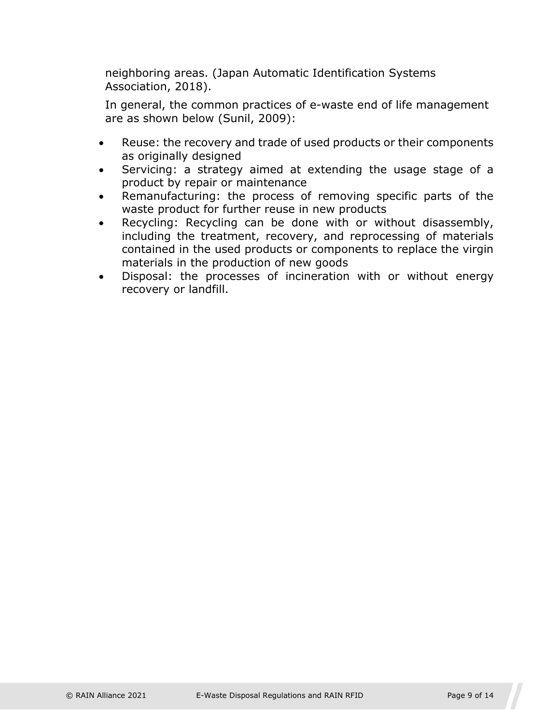neighboring areas. (Japan Automatic Identification Systems Association, 2018).

In general, the common practices of e-waste end of life management are as shown below (Sunil, 2009):

- Reuse: the recovery and trade of used products or their components as originally designed
- Servicing: a strategy aimed at extending the usage stage of a product by repair or maintenance
- Remanufacturing: the process of removing specific parts of the waste product for further reuse in new products
- Recycling: Recycling can be done with or without disassembly, including the treatment, recovery, and reprocessing of materials contained in the used products or components to replace the virgin materials in the production of new goods
- Disposal: the processes of incineration with or without energy recovery or landfill.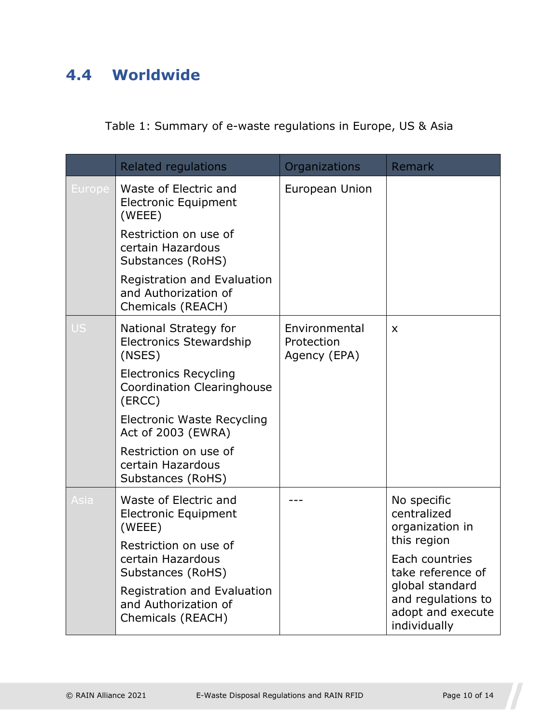# <span id="page-9-0"></span>**4.4 Worldwide**

Table 1: Summary of e-waste regulations in Europe, US & Asia

|               | <b>Related regulations</b>                                                  | Organizations                               | Remark                                                                     |
|---------------|-----------------------------------------------------------------------------|---------------------------------------------|----------------------------------------------------------------------------|
| <b>Europe</b> | Waste of Electric and<br><b>Electronic Equipment</b><br>(WEEE)              | European Union                              |                                                                            |
|               | Restriction on use of<br>certain Hazardous<br>Substances (RoHS)             |                                             |                                                                            |
|               | Registration and Evaluation<br>and Authorization of<br>Chemicals (REACH)    |                                             |                                                                            |
| <b>US</b>     | National Strategy for<br><b>Electronics Stewardship</b><br>(NSES)           | Environmental<br>Protection<br>Agency (EPA) | $\boldsymbol{\mathsf{X}}$                                                  |
|               | <b>Electronics Recycling</b><br><b>Coordination Clearinghouse</b><br>(ERCC) |                                             |                                                                            |
|               | Electronic Waste Recycling<br>Act of 2003 (EWRA)                            |                                             |                                                                            |
|               | Restriction on use of<br>certain Hazardous<br>Substances (RoHS)             |                                             |                                                                            |
| Asia          | Waste of Electric and<br><b>Electronic Equipment</b><br>(WEEE)              |                                             | No specific<br>centralized<br>organization in                              |
|               | Restriction on use of<br>certain Hazardous<br>Substances (RoHS)             |                                             | this region<br>Each countries<br>take reference of                         |
|               | Registration and Evaluation<br>and Authorization of<br>Chemicals (REACH)    |                                             | global standard<br>and regulations to<br>adopt and execute<br>individually |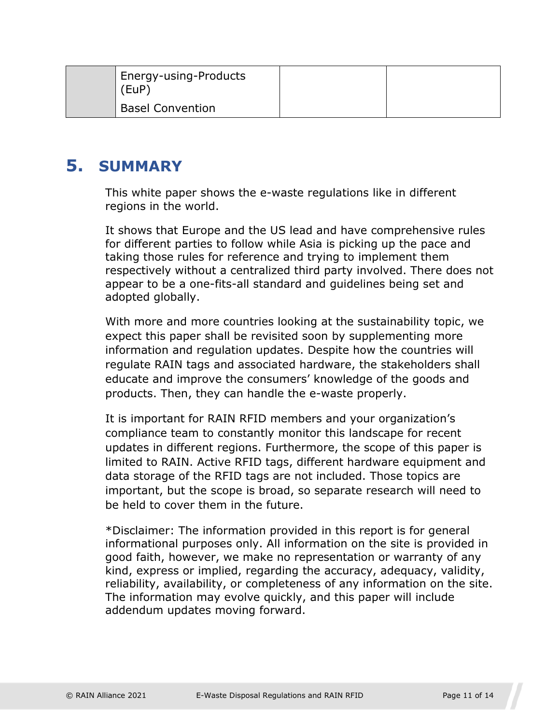| Energy-using-Products<br>(EUP) |  |
|--------------------------------|--|
| <b>Basel Convention</b>        |  |

## <span id="page-10-0"></span>**5. SUMMARY**

This white paper shows the e-waste regulations like in different regions in the world.

It shows that Europe and the US lead and have comprehensive rules for different parties to follow while Asia is picking up the pace and taking those rules for reference and trying to implement them respectively without a centralized third party involved. There does not appear to be a one-fits-all standard and guidelines being set and adopted globally.

With more and more countries looking at the sustainability topic, we expect this paper shall be revisited soon by supplementing more information and regulation updates. Despite how the countries will regulate RAIN tags and associated hardware, the stakeholders shall educate and improve the consumers' knowledge of the goods and products. Then, they can handle the e-waste properly.

It is important for RAIN RFID members and your organization's compliance team to constantly monitor this landscape for recent updates in different regions. Furthermore, the scope of this paper is limited to RAIN. Active RFID tags, different hardware equipment and data storage of the RFID tags are not included. Those topics are important, but the scope is broad, so separate research will need to be held to cover them in the future.

\*Disclaimer: The information provided in this report is for general informational purposes only. All information on the site is provided in good faith, however, we make no representation or warranty of any kind, express or implied, regarding the accuracy, adequacy, validity, reliability, availability, or completeness of any information on the site. The information may evolve quickly, and this paper will include addendum updates moving forward.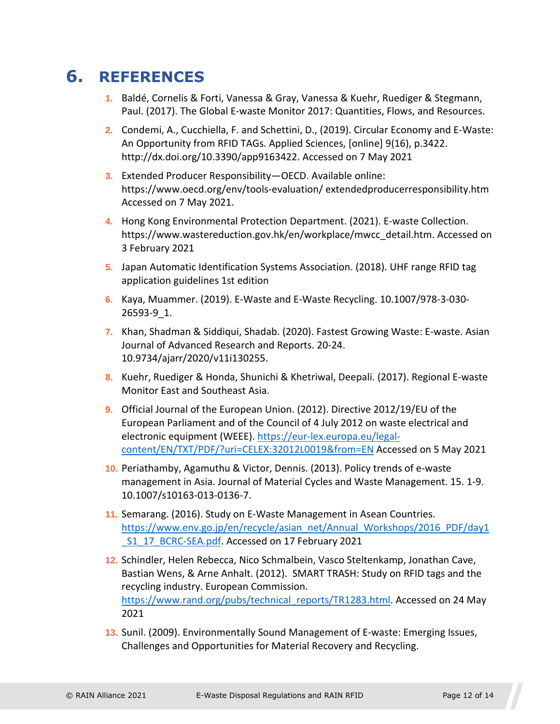# **6. REFERENCES**

- <span id="page-11-0"></span>**1.** Baldé, Cornelis & Forti, Vanessa & Gray, Vanessa & Kuehr, Ruediger & Stegmann, Paul. (2017). The Global E-waste Monitor 2017: Quantities, Flows, and Resources.
- **2.** Condemi, A., Cucchiella, F. and Schettini, D., (2019). Circular Economy and E-Waste: An Opportunity from RFID TAGs. Applied Sciences, [online] 9(16), p.3422. http://dx.doi.org/10.3390/app9163422. Accessed on 7 May 2021
- **3.** Extended Producer Responsibility—OECD. Available online: https://www.oecd.org/env/tools-evaluation/ extendedproducerresponsibility.htm Accessed on 7 May 2021.
- **4.** Hong Kong Environmental Protection Department. (2021). E-waste Collection. https://www.wastereduction.gov.hk/en/workplace/mwcc\_detail.htm. Accessed on 3 February 2021
- **5.** Japan Automatic Identification Systems Association. (2018). UHF range RFID tag application guidelines 1st edition
- **6.** Kaya, Muammer. (2019). E-Waste and E-Waste Recycling. 10.1007/978-3-030- 26593-9\_1.
- **7.** Khan, Shadman & Siddiqui, Shadab. (2020). Fastest Growing Waste: E-waste. Asian Journal of Advanced Research and Reports. 20-24. 10.9734/ajarr/2020/v11i130255.
- **8.** Kuehr, Ruediger & Honda, Shunichi & Khetriwal, Deepali. (2017). Regional E-waste Monitor East and Southeast Asia.
- **9.** Official Journal of the European Union. (2012). Directive 2012/19/EU of the European Parliament and of the Council of 4 July 2012 on waste electrical and electronic equipment (WEEE). [https://eur-lex.europa.eu/legal](https://eur-lex.europa.eu/legal-content/EN/TXT/PDF/?uri=CELEX:32012L0019&from=EN)[content/EN/TXT/PDF/?uri=CELEX:32012L0019&from=EN Accessed on 5 May 2021](https://eur-lex.europa.eu/legal-content/EN/TXT/PDF/?uri=CELEX:32012L0019&from=EN)
- **10.** Periathamby, Agamuthu & Victor, Dennis. (2013). Policy trends of e-waste management in Asia. Journal of Material Cycles and Waste Management. 15. 1-9. 10.1007/s10163-013-0136-7.
- **11.** Semarang. (2016). Study on E-Waste Management in Asean Countries. [https://www.env.go.jp/en/recycle/asian\\_net/Annual\\_Workshops/2016\\_PDF/day1](https://www.env.go.jp/en/recycle/asian_net/Annual_Workshops/2016_PDF/day1_S1_17_BCRC-SEA.pdf) S1\_17\_BCRC-SEA.pdf. Accessed on 17 February 2021
- **12.** Schindler, Helen Rebecca, Nico Schmalbein, Vasco Steltenkamp, Jonathan Cave, Bastian Wens, & Arne Anhalt. (2012). SMART TRASH: Study on RFID tags and the recycling industry. European Commission. [https://www.rand.org/pubs/technical\\_reports/TR1283.html.](https://www.rand.org/pubs/technical_reports/TR1283.html) Accessed on 24 May 2021
- **13.** Sunil. (2009). Environmentally Sound Management of E-waste: Emerging Issues, Challenges and Opportunities for Material Recovery and Recycling.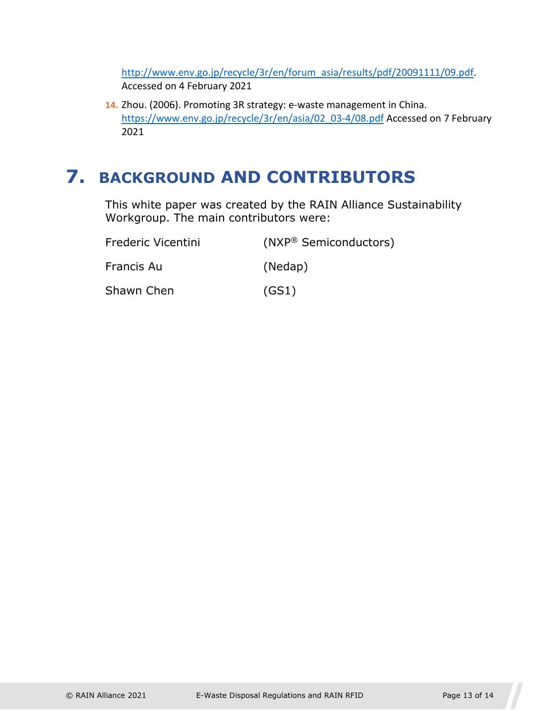[http://www.env.go.jp/recycle/3r/en/forum\\_asia/results/pdf/20091111/09.pdf](http://www.env.go.jp/recycle/3r/en/forum_asia/results/pdf/20091111/09.pdf). Accessed on 4 February 2021

**14.** Zhou. (2006). Promoting 3R strategy: e-waste management in China. [https://www.env.go.jp/recycle/3r/en/asia/02\\_03-4/08.pdf](https://www.env.go.jp/recycle/3r/en/asia/02_03-4/08.pdf) Accessed on 7 February 2021

# <span id="page-12-0"></span>**7. BACKGROUND AND CONTRIBUTORS**

This white paper was created by the RAIN Alliance Sustainability Workgroup. The main contributors were:

| Frederic Vicentini | (NXP® Semiconductors) |
|--------------------|-----------------------|
| Francis Au         | (Nedap)               |
| Shawn Chen         | (GS1)                 |